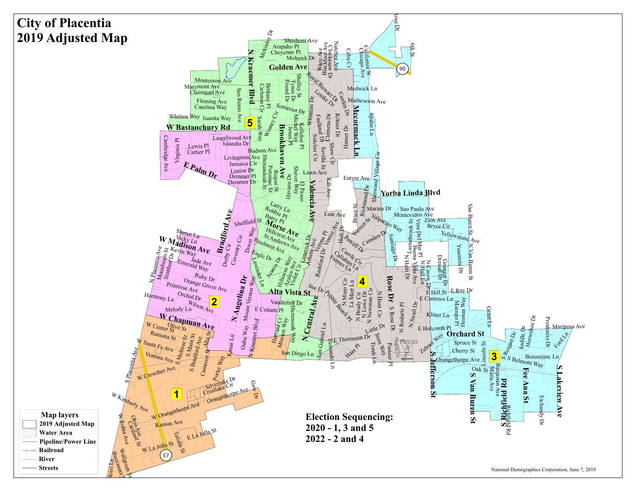